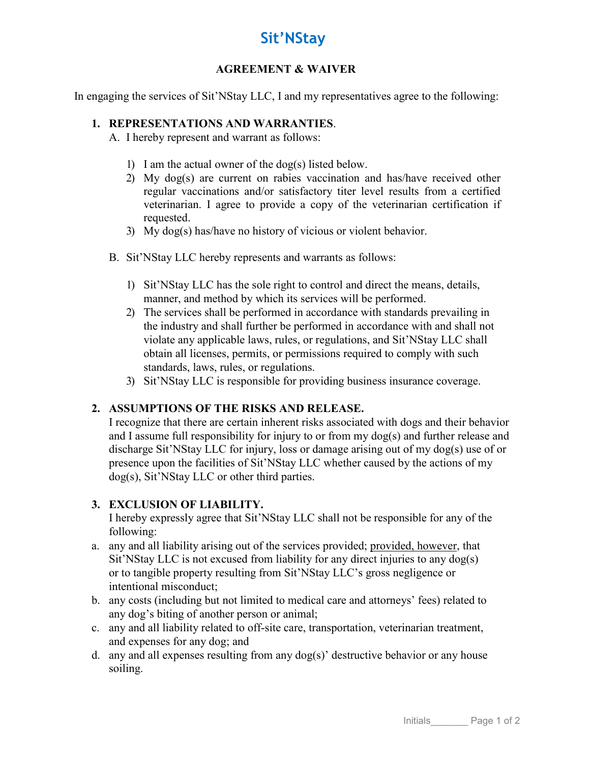# **Sit'NStay**

#### **AGREEMENT & WAIVER**

In engaging the services of Sit'NStay LLC, I and my representatives agree to the following:

### **1. REPRESENTATIONS AND WARRANTIES**.

A. I hereby represent and warrant as follows:

- 1) I am the actual owner of the dog(s) listed below.
- 2) My dog(s) are current on rabies vaccination and has/have received other regular vaccinations and/or satisfactory titer level results from a certified veterinarian. I agree to provide a copy of the veterinarian certification if requested.
- 3) My dog(s) has/have no history of vicious or violent behavior.
- B. Sit'NStay LLC hereby represents and warrants as follows:
	- 1) Sit'NStay LLC has the sole right to control and direct the means, details, manner, and method by which its services will be performed.
	- 2) The services shall be performed in accordance with standards prevailing in the industry and shall further be performed in accordance with and shall not violate any applicable laws, rules, or regulations, and Sit'NStay LLC shall obtain all licenses, permits, or permissions required to comply with such standards, laws, rules, or regulations.
	- 3) Sit'NStay LLC is responsible for providing business insurance coverage.

## **2. ASSUMPTIONS OF THE RISKS AND RELEASE.**

I recognize that there are certain inherent risks associated with dogs and their behavior and I assume full responsibility for injury to or from my dog(s) and further release and discharge Sit'NStay LLC for injury, loss or damage arising out of my dog(s) use of or presence upon the facilities of Sit'NStay LLC whether caused by the actions of my dog(s), Sit'NStay LLC or other third parties.

## **3. EXCLUSION OF LIABILITY.**

I hereby expressly agree that Sit'NStay LLC shall not be responsible for any of the following:

- a. any and all liability arising out of the services provided; provided, however, that Sit'NStay LLC is not excused from liability for any direct injuries to any dog(s) or to tangible property resulting from Sit'NStay LLC's gross negligence or intentional misconduct;
- b. any costs (including but not limited to medical care and attorneys' fees) related to any dog's biting of another person or animal;
- c. any and all liability related to off-site care, transportation, veterinarian treatment, and expenses for any dog; and
- d. any and all expenses resulting from any dog(s)' destructive behavior or any house soiling.